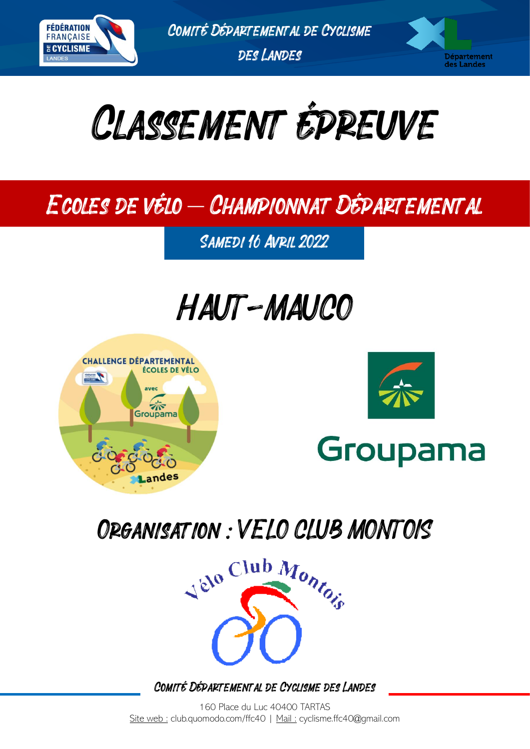

Comité Départemental de Cyclisme des Landes

Département des Landes



## Ecoles de vélo – Championnat Départemental

SAMEDI 16 AVRIL 2022

# HAUT-MAUCO





## Organisation: VELO CLUB MONTOIS



Comité Départemental de Cyclisme des Landes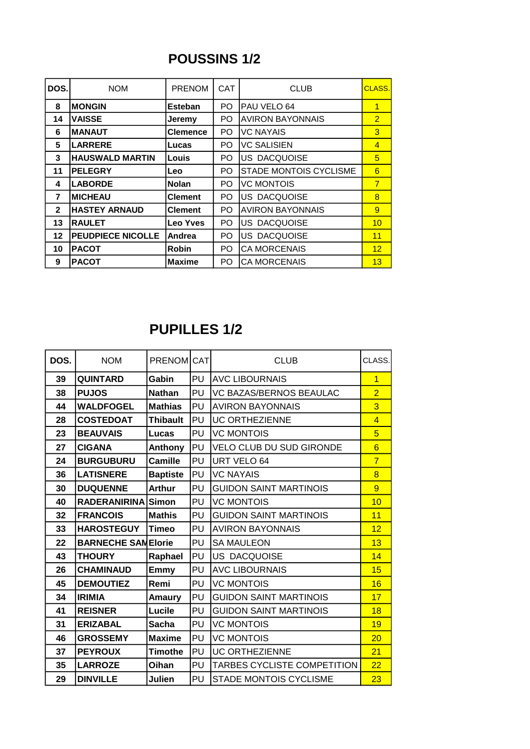### **POUSSINS 1/2**

| DOS.         | <b>NOM</b>               | <b>PRENOM</b>   | <b>CAT</b> | <b>CLUB</b>                   | CLASS.          |
|--------------|--------------------------|-----------------|------------|-------------------------------|-----------------|
| 8            | <b>MONGIN</b>            | <b>Esteban</b>  | PO.        | PAU VELO 64                   | $\overline{1}$  |
| 14           | <b>VAISSE</b>            | Jeremy          | PO.        | <b>AVIRON BAYONNAIS</b>       | $\overline{2}$  |
| 6            | <b>MANAUT</b>            | <b>Clemence</b> | PO         | <b>VC NAYAIS</b>              | $\overline{3}$  |
| 5            | <b>LARRERE</b>           | Lucas           | PO.        | <b>VC SALISIEN</b>            | $\overline{4}$  |
| 3            | <b>HAUSWALD MARTIN</b>   | Louis           | PO.        | US DACQUOISE                  | 5               |
| 11           | <b>PELEGRY</b>           | Leo             | PO.        | <b>STADE MONTOIS CYCLISME</b> | 6               |
| 4            | <b>LABORDE</b>           | <b>Nolan</b>    | PO.        | <b>VC MONTOIS</b>             | $\overline{7}$  |
| 7            | <b>IMICHEAU</b>          | <b>Clement</b>  | PO.        | US DACQUOISE                  | $\overline{8}$  |
| $\mathbf{2}$ | <b>HASTEY ARNAUD</b>     | <b>Clement</b>  | PO.        | <b>AVIRON BAYONNAIS</b>       | $\overline{9}$  |
| 13           | <b>RAULET</b>            | Leo Yves        | PO         | US DACQUOISE                  | 10              |
| 12           | <b>PEUDPIECE NICOLLE</b> | Andrea          | PO.        | US DACQUOISE                  | 11              |
| 10           | <b>PACOT</b>             | <b>Robin</b>    | PO.        | <b>CA MORCENAIS</b>           | 12 <sub>2</sub> |
| 9            | <b>PACOT</b>             | <b>Maxime</b>   | PO.        | <b>CA MORCENAIS</b>           | 13              |

#### **PUPILLES 1/2**

| DOS. | <b>NOM</b>                | PRENOM CAT      |    | <b>CLUB</b>                     | CLASS.          |
|------|---------------------------|-----------------|----|---------------------------------|-----------------|
| 39   | <b>QUINTARD</b>           | Gabin           | PU | <b>AVC LIBOURNAIS</b>           | 1               |
| 38   | <b>PUJOS</b>              | <b>Nathan</b>   | PU | <b>VC BAZAS/BERNOS BEAULAC</b>  | $\overline{2}$  |
| 44   | <b>WALDFOGEL</b>          | <b>Mathias</b>  | PU | <b>AVIRON BAYONNAIS</b>         | $\overline{3}$  |
| 28   | <b>COSTEDOAT</b>          | <b>Thibault</b> | PU | <b>UC ORTHEZIENNE</b>           | $\overline{4}$  |
| 23   | <b>BEAUVAIS</b>           | Lucas           | PU | <b>VC MONTOIS</b>               | $\overline{5}$  |
| 27   | <b>CIGANA</b>             | Anthony         | PU | <b>VELO CLUB DU SUD GIRONDE</b> | $6\overline{6}$ |
| 24   | <b>BURGUBURU</b>          | Camille         | PU | URT VELO 64                     | $\overline{7}$  |
| 36   | <b>LATISNERE</b>          | <b>Baptiste</b> | PU | <b>VC NAYAIS</b>                | $\overline{8}$  |
| 30   | <b>DUQUENNE</b>           | <b>Arthur</b>   | PU | <b>GUIDON SAINT MARTINOIS</b>   | $\overline{9}$  |
| 40   | RADERANIRINA Simon        |                 | PU | <b>VC MONTOIS</b>               | 10              |
| 32   | <b>FRANCOIS</b>           | <b>Mathis</b>   | PU | <b>GUIDON SAINT MARTINOIS</b>   | 11              |
| 33   | <b>HAROSTEGUY</b>         | Timeo           | PU | <b>AVIRON BAYONNAIS</b>         | 12              |
| 22   | <b>BARNECHE SAMElorie</b> |                 | PU | <b>SA MAULEON</b>               | 13              |
| 43   | <b>THOURY</b>             | Raphael         | PU | <b>US DACQUOISE</b>             | 14              |
| 26   | <b>CHAMINAUD</b>          | Emmy            | PU | <b>AVC LIBOURNAIS</b>           | 15              |
| 45   | <b>DEMOUTIEZ</b>          | Remi            | PU | <b>VC MONTOIS</b>               | 16              |
| 34   | <b>IRIMIA</b>             | Amaury          | PU | <b>GUIDON SAINT MARTINOIS</b>   | 17              |
| 41   | <b>REISNER</b>            | Lucile          | PU | <b>GUIDON SAINT MARTINOIS</b>   | 18              |
| 31   | <b>ERIZABAL</b>           | Sacha           | PU | <b>VC MONTOIS</b>               | 19              |
| 46   | <b>GROSSEMY</b>           | <b>Maxime</b>   | PU | <b>VC MONTOIS</b>               | 20              |
| 37   | <b>PEYROUX</b>            | <b>Timothe</b>  | PU | <b>UC ORTHEZIENNE</b>           | 21              |
| 35   | <b>LARROZE</b>            | Oihan           | PU | TARBES CYCLISTE COMPETITION     | 22              |
| 29   | <b>DINVILLE</b>           | Julien          | PU | <b>STADE MONTOIS CYCLISME</b>   | 23              |